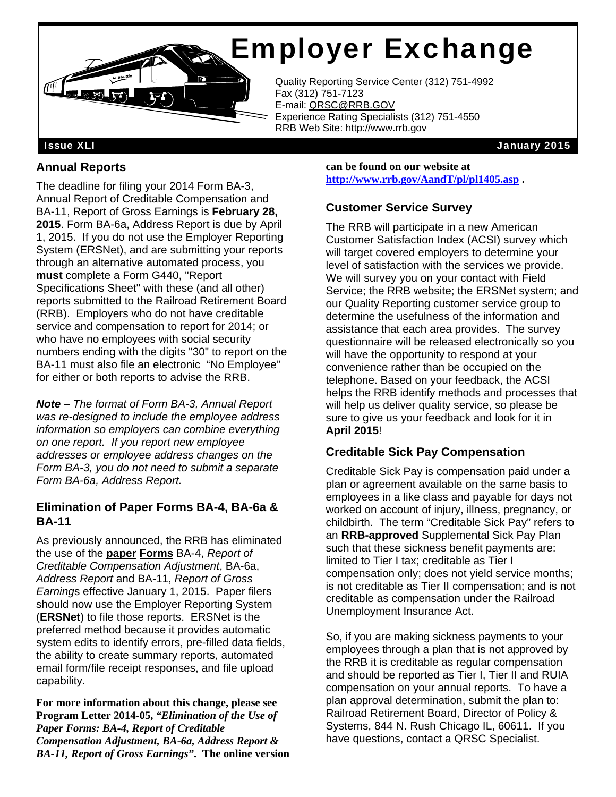# Employer Exchange

Quality Reporting Service Center (312) 751-4992<br>Fax (312) 751-7123 Fax (312) 751-7123 E-mail: QRSC@RRB.GOV Experience Rating Specialists (312) 751-4550 RRB Web Site: http://www.rrb.gov

Issue XLI January 2015

#### **Annual Reports**

 $H_1$   $H_2$ 

The deadline for filing your 2014 Form BA-3, Annual Report of Creditable Compensation and BA-11, Report of Gross Earnings is **February 28, 2015**. Form BA-6a, Address Report is due by April 1, 2015. If you do not use the Employer Reporting System (ERSNet), and are submitting your reports through an alternative automated process, you **must** complete a Form G440, "Report Specifications Sheet" with these (and all other) reports submitted to the Railroad Retirement Board (RRB). Employers who do not have creditable service and compensation to report for 2014; or who have no employees with social security numbers ending with the digits "30" to report on the BA-11 must also file an electronic "No Employee" for either or both reports to advise the RRB.

 $\overline{\mathbf{E}}$ 

*Note – The format of Form BA-3, Annual Report was re-designed to include the employee address information so employers can combine everything on one report. If you report new employee addresses or employee address changes on the Form BA-3, you do not need to submit a separate Form BA-6a, Address Report.* 

#### **Elimination of Paper Forms BA-4, BA-6a & BA-11**

As previously announced, the RRB has eliminated the use of the **paper Forms** BA-4, *Report of Creditable Compensation Adjustment*, BA-6a, *Address Report* and BA-11, *Report of Gross Earning*s effective January 1, 2015. Paper filers should now use the Employer Reporting System (**ERSNet**) to file those reports. ERSNet is the preferred method because it provides automatic system edits to identify errors, pre-filled data fields, the ability to create summary reports, automated email form/file receipt responses, and file upload capability.

**For more information about this change, please see Program Letter 2014-05,** *"Elimination of the Use of Paper Forms: BA-4, Report of Creditable Compensation Adjustment, BA-6a, Address Report & BA-11, Report of Gross Earnings"***. The online version** 

**can be found on our website at http://www.rrb.gov/AandT/pl/pl1405.asp .** 

## **Customer Service Survey**

The RRB will participate in a new American Customer Satisfaction Index (ACSI) survey which will target covered employers to determine your level of satisfaction with the services we provide. We will survey you on your contact with Field Service; the RRB website; the ERSNet system; and our Quality Reporting customer service group to determine the usefulness of the information and assistance that each area provides. The survey questionnaire will be released electronically so you will have the opportunity to respond at your convenience rather than be occupied on the telephone. Based on your feedback, the ACSI helps the RRB identify methods and processes that will help us deliver quality service, so please be sure to give us your feedback and look for it in **April 2015**!

## **Creditable Sick Pay Compensation**

Creditable Sick Pay is compensation paid under a plan or agreement available on the same basis to employees in a like class and payable for days not worked on account of injury, illness, pregnancy, or childbirth. The term "Creditable Sick Pay" refers to an **RRB-approved** Supplemental Sick Pay Plan such that these sickness benefit payments are: limited to Tier I tax; creditable as Tier I compensation only; does not yield service months; is not creditable as Tier II compensation; and is not creditable as compensation under the Railroad Unemployment Insurance Act.

So, if you are making sickness payments to your employees through a plan that is not approved by the RRB it is creditable as regular compensation and should be reported as Tier I, Tier II and RUIA compensation on your annual reports. To have a plan approval determination, submit the plan to: Railroad Retirement Board, Director of Policy & Systems, 844 N. Rush Chicago IL, 60611. If you have questions, contact a QRSC Specialist.